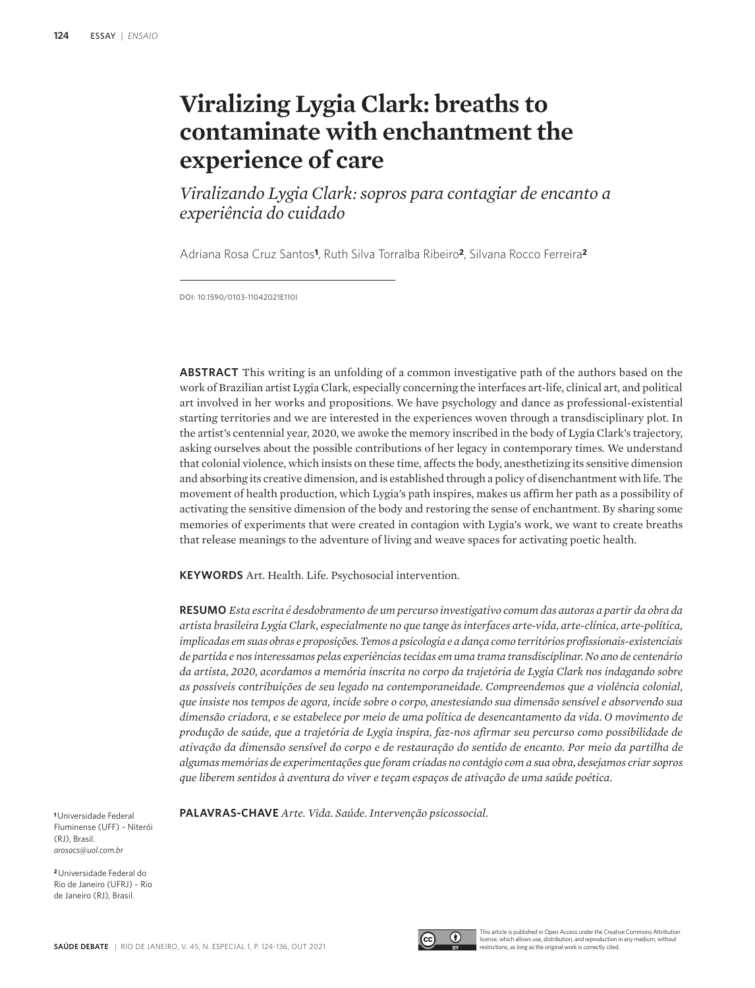# **Viralizing Lygia Clark: breaths to contaminate with enchantment the experience of care**

*Viralizando Lygia Clark: sopros para contagiar de encanto a experiência do cuidado*

Adriana Rosa Cruz Santos**1**, Ruth Silva Torralba Ribeiro**2**, Silvana Rocco Ferreira**<sup>2</sup>**

DOI: 10.1590/0103-11042021E110I

**ABSTRACT** This writing is an unfolding of a common investigative path of the authors based on the work of Brazilian artist Lygia Clark, especially concerning the interfaces art-life, clinical art, and political art involved in her works and propositions. We have psychology and dance as professional-existential starting territories and we are interested in the experiences woven through a transdisciplinary plot. In the artist's centennial year, 2020, we awoke the memory inscribed in the body of Lygia Clark's trajectory, asking ourselves about the possible contributions of her legacy in contemporary times. We understand that colonial violence, which insists on these time, affects the body, anesthetizing its sensitive dimension and absorbing its creative dimension, and is established through a policy of disenchantment with life. The movement of health production, which Lygia's path inspires, makes us affirm her path as a possibility of activating the sensitive dimension of the body and restoring the sense of enchantment. By sharing some memories of experiments that were created in contagion with Lygia's work, we want to create breaths that release meanings to the adventure of living and weave spaces for activating poetic health.

**KEYWORDS** Art. Health. Life. Psychosocial intervention.

**RESUMO** *Esta escrita é desdobramento de um percurso investigativo comum das autoras a partir da obra da artista brasileira Lygia Clark, especialmente no que tange às interfaces arte-vida, arte-clínica, arte-política, implicadas em suas obras e proposições. Temos a psicologia e a dança como territórios profissionais-existenciais de partida e nos interessamos pelas experiências tecidas em uma trama transdisciplinar. No ano de centenário da artista, 2020, acordamos a memória inscrita no corpo da trajetória de Lygia Clark nos indagando sobre as possíveis contribuições de seu legado na contemporaneidade. Compreendemos que a violência colonial, que insiste nos tempos de agora, incide sobre o corpo, anestesiando sua dimensão sensível e absorvendo sua dimensão criadora, e se estabelece por meio de uma política de desencantamento da vida. O movimento de produção de saúde, que a trajetória de Lygia inspira, faz-nos afirmar seu percurso como possibilidade de ativação da dimensão sensível do corpo e de restauração do sentido de encanto. Por meio da partilha de algumas memórias de experimentações que foram criadas no contágio com a sua obra, desejamos criar sopros que liberem sentidos à aventura do viver e teçam espaços de ativação de uma saúde poética.*

**<sup>1</sup>**Universidade Federal Fluminense (UFF) – Niterói (RJ), Brasil. *arosacs@uol.com.br*

**<sup>2</sup>**Universidade Federal do Rio de Janeiro (UFRJ) – Rio de Janeiro (RJ), Brasil.

**PALAVRAS-CHAVE** *Arte. Vida. Saúde. Intervenção psicossocial.*



This article is published in Open Access under the Creative Commons Attribution license, which allows use, distribution, and reproduction in any medium, without restrictions, as long as the original work is correctly cited.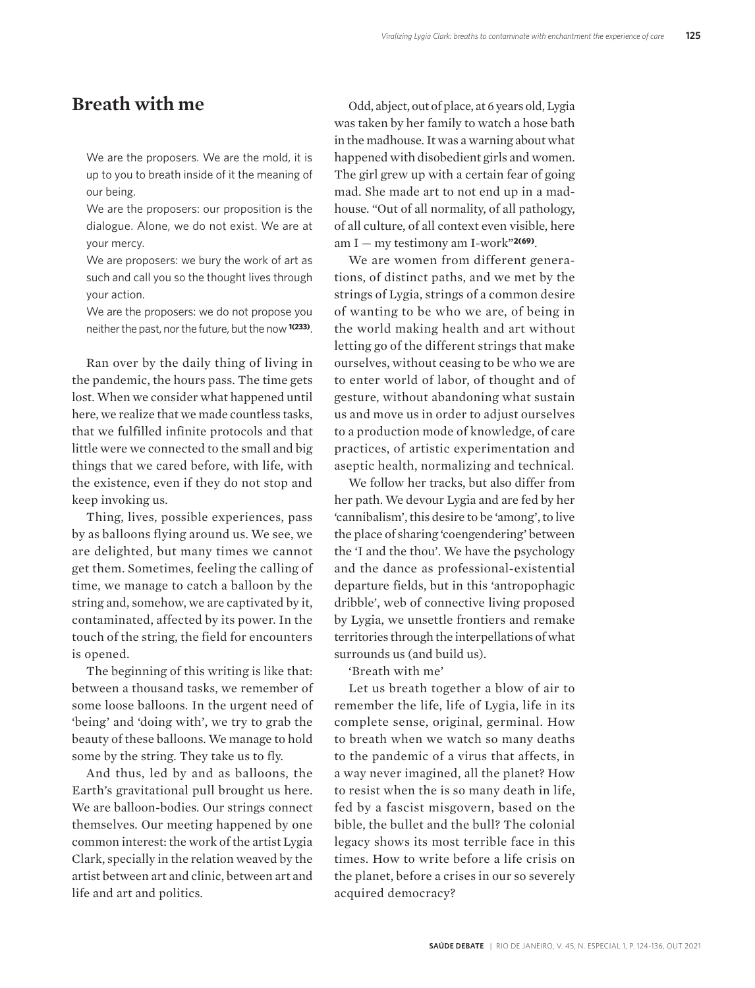#### **Breath with me**

We are the proposers. We are the mold, it is up to you to breath inside of it the meaning of our being.

We are the proposers: our proposition is the dialogue. Alone, we do not exist. We are at your mercy.

We are proposers: we bury the work of art as such and call you so the thought lives through your action.

We are the proposers: we do not propose you neither the past, nor the future, but the now **1(233)**.

Ran over by the daily thing of living in the pandemic, the hours pass. The time gets lost. When we consider what happened until here, we realize that we made countless tasks, that we fulfilled infinite protocols and that little were we connected to the small and big things that we cared before, with life, with the existence, even if they do not stop and keep invoking us.

Thing, lives, possible experiences, pass by as balloons flying around us. We see, we are delighted, but many times we cannot get them. Sometimes, feeling the calling of time, we manage to catch a balloon by the string and, somehow, we are captivated by it, contaminated, affected by its power. In the touch of the string, the field for encounters is opened.

The beginning of this writing is like that: between a thousand tasks, we remember of some loose balloons. In the urgent need of 'being' and 'doing with', we try to grab the beauty of these balloons. We manage to hold some by the string. They take us to fly.

And thus, led by and as balloons, the Earth's gravitational pull brought us here. We are balloon-bodies. Our strings connect themselves. Our meeting happened by one common interest: the work of the artist Lygia Clark, specially in the relation weaved by the artist between art and clinic, between art and life and art and politics.

Odd, abject, out of place, at 6 years old, Lygia was taken by her family to watch a hose bath in the madhouse. It was a warning about what happened with disobedient girls and women. The girl grew up with a certain fear of going mad. She made art to not end up in a madhouse. "Out of all normality, of all pathology, of all culture, of all context even visible, here am I — my testimony am I-work"**2(69)**.

We are women from different generations, of distinct paths, and we met by the strings of Lygia, strings of a common desire of wanting to be who we are, of being in the world making health and art without letting go of the different strings that make ourselves, without ceasing to be who we are to enter world of labor, of thought and of gesture, without abandoning what sustain us and move us in order to adjust ourselves to a production mode of knowledge, of care practices, of artistic experimentation and aseptic health, normalizing and technical.

We follow her tracks, but also differ from her path. We devour Lygia and are fed by her 'cannibalism', this desire to be 'among', to live the place of sharing 'coengendering' between the 'I and the thou'. We have the psychology and the dance as professional-existential departure fields, but in this 'antropophagic dribble', web of connective living proposed by Lygia, we unsettle frontiers and remake territories through the interpellations of what surrounds us (and build us).

'Breath with me'

Let us breath together a blow of air to remember the life, life of Lygia, life in its complete sense, original, germinal. How to breath when we watch so many deaths to the pandemic of a virus that affects, in a way never imagined, all the planet? How to resist when the is so many death in life, fed by a fascist misgovern, based on the bible, the bullet and the bull? The colonial legacy shows its most terrible face in this times. How to write before a life crisis on the planet, before a crises in our so severely acquired democracy?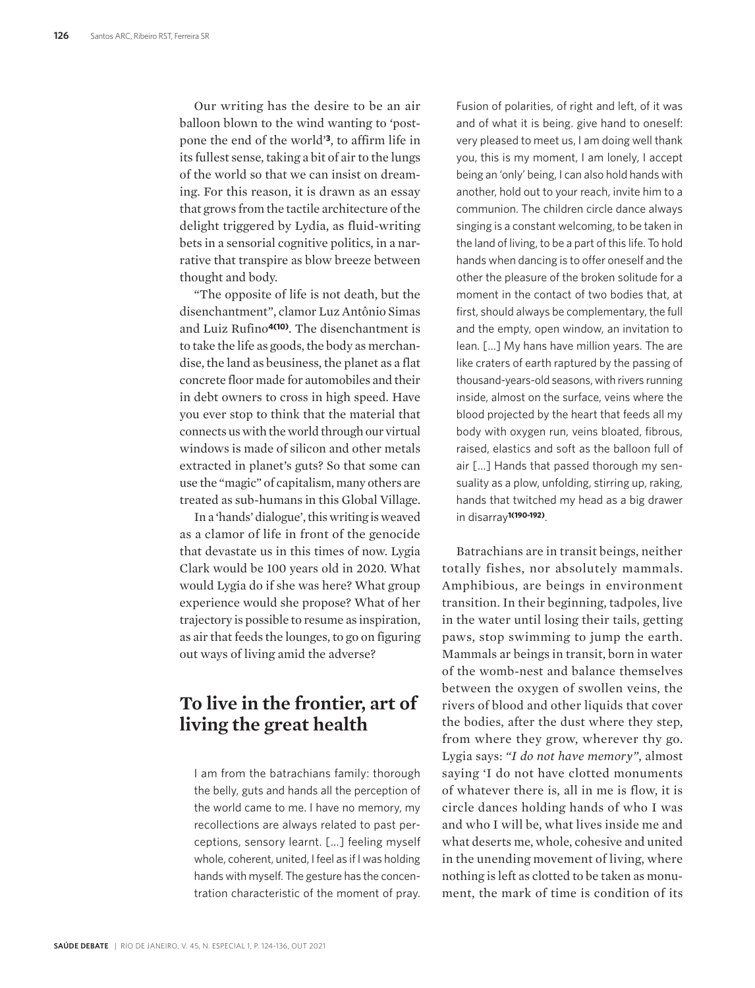Our writing has the desire to be an air balloon blown to the wind wanting to 'postpone the end of the world'**3**, to affirm life in its fullest sense, taking a bit of air to the lungs of the world so that we can insist on dreaming. For this reason, it is drawn as an essay that grows from the tactile architecture of the delight triggered by Lydia, as fluid-writing bets in a sensorial cognitive politics, in a narrative that transpire as blow breeze between thought and body.

"The opposite of life is not death, but the disenchantment", clamor Luz Antônio Simas and Luiz Rufino**4(10)**. The disenchantment is to take the life as goods, the body as merchandise, the land as beusiness, the planet as a flat concrete floor made for automobiles and their in debt owners to cross in high speed. Have you ever stop to think that the material that connects us with the world through our virtual windows is made of silicon and other metals extracted in planet's guts? So that some can use the "magic" of capitalism, many others are treated as sub-humans in this Global Village.

In a 'hands' dialogue', this writing is weaved as a clamor of life in front of the genocide that devastate us in this times of now. Lygia Clark would be 100 years old in 2020. What would Lygia do if she was here? What group experience would she propose? What of her trajectory is possible to resume as inspiration, as air that feeds the lounges, to go on figuring out ways of living amid the adverse?

## **To live in the frontier, art of living the great health**

I am from the batrachians family: thorough the belly, guts and hands all the perception of the world came to me. I have no memory, my recollections are always related to past perceptions, sensory learnt. […] feeling myself whole, coherent, united, I feel as if I was holding hands with myself. The gesture has the concentration characteristic of the moment of pray.

Fusion of polarities, of right and left, of it was and of what it is being. give hand to oneself: very pleased to meet us, I am doing well thank you, this is my moment, I am lonely, I accept being an 'only' being, I can also hold hands with another, hold out to your reach, invite him to a communion. The children circle dance always singing is a constant welcoming, to be taken in the land of living, to be a part of this life. To hold hands when dancing is to offer oneself and the other the pleasure of the broken solitude for a moment in the contact of two bodies that, at first, should always be complementary, the full and the empty, open window, an invitation to lean. […] My hans have million years. The are like craters of earth raptured by the passing of thousand-years-old seasons, with rivers running inside, almost on the surface, veins where the blood projected by the heart that feeds all my body with oxygen run, veins bloated, fibrous, raised, elastics and soft as the balloon full of air […] Hands that passed thorough my sensuality as a plow, unfolding, stirring up, raking, hands that twitched my head as a big drawer in disarray**1(190-192)**.

Batrachians are in transit beings, neither totally fishes, nor absolutely mammals. Amphibious, are beings in environment transition. In their beginning, tadpoles, live in the water until losing their tails, getting paws, stop swimming to jump the earth. Mammals ar beings in transit, born in water of the womb-nest and balance themselves between the oxygen of swollen veins, the rivers of blood and other liquids that cover the bodies, after the dust where they step, from where they grow, wherever thy go. Lygia says: *"I do not have memory"*, almost saying 'I do not have clotted monuments of whatever there is, all in me is flow, it is circle dances holding hands of who I was and who I will be, what lives inside me and what deserts me, whole, cohesive and united in the unending movement of living, where nothing is left as clotted to be taken as monument, the mark of time is condition of its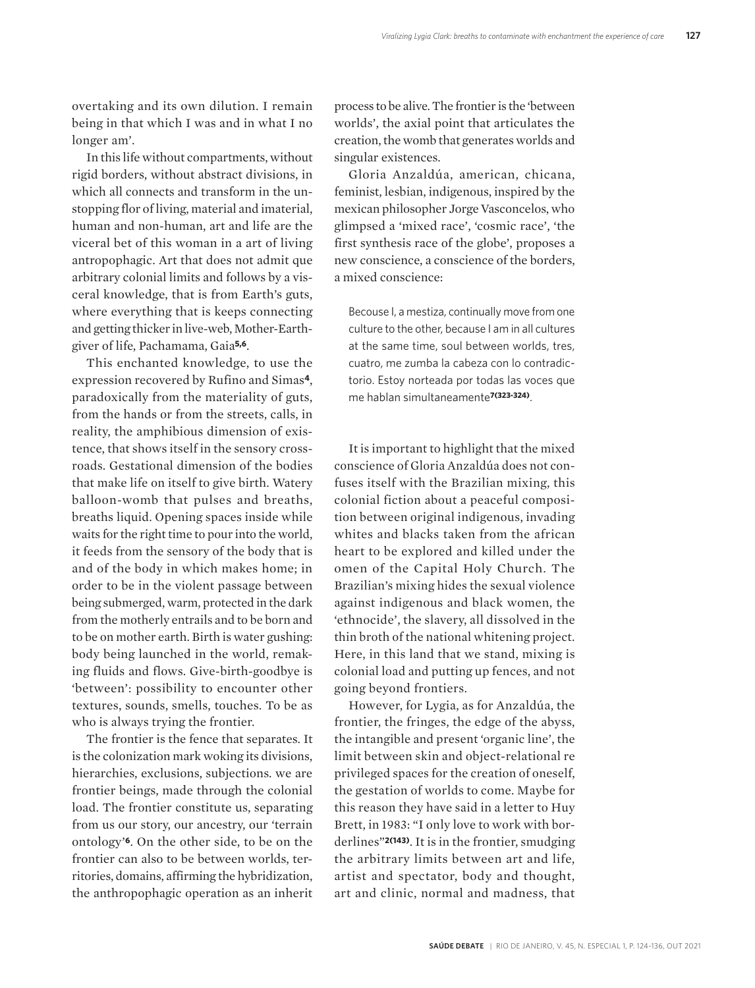overtaking and its own dilution. I remain being in that which I was and in what I no longer am'.

In this life without compartments, without rigid borders, without abstract divisions, in which all connects and transform in the unstopping flor of living, material and imaterial, human and non-human, art and life are the viceral bet of this woman in a art of living antropophagic. Art that does not admit que arbitrary colonial limits and follows by a visceral knowledge, that is from Earth's guts, where everything that is keeps connecting and getting thicker in live-web, Mother-Earthgiver of life, Pachamama, Gaia**5,6**.

This enchanted knowledge, to use the expression recovered by Rufino and Simas**4**, paradoxically from the materiality of guts, from the hands or from the streets, calls, in reality, the amphibious dimension of existence, that shows itself in the sensory crossroads. Gestational dimension of the bodies that make life on itself to give birth. Watery balloon-womb that pulses and breaths, breaths liquid. Opening spaces inside while waits for the right time to pour into the world, it feeds from the sensory of the body that is and of the body in which makes home; in order to be in the violent passage between being submerged, warm, protected in the dark from the motherly entrails and to be born and to be on mother earth. Birth is water gushing: body being launched in the world, remaking fluids and flows. Give-birth-goodbye is 'between': possibility to encounter other textures, sounds, smells, touches. To be as who is always trying the frontier.

The frontier is the fence that separates. It is the colonization mark woking its divisions, hierarchies, exclusions, subjections. we are frontier beings, made through the colonial load. The frontier constitute us, separating from us our story, our ancestry, our 'terrain ontology'**6**. On the other side, to be on the frontier can also to be between worlds, territories, domains, affirming the hybridization, the anthropophagic operation as an inherit

process to be alive. The frontier is the 'between worlds', the axial point that articulates the creation, the womb that generates worlds and singular existences.

Gloria Anzaldúa, american, chicana, feminist, lesbian, indigenous, inspired by the mexican philosopher Jorge Vasconcelos, who glimpsed a 'mixed race', 'cosmic race', 'the first synthesis race of the globe', proposes a new conscience, a conscience of the borders, a mixed conscience:

Becouse I, a mestiza, continually move from one culture to the other, because I am in all cultures at the same time, soul between worlds, tres, cuatro, me zumba la cabeza con lo contradictorio. Estoy norteada por todas las voces que me hablan simultaneamente**7(323-324)**.

It is important to highlight that the mixed conscience of Gloria Anzaldúa does not confuses itself with the Brazilian mixing, this colonial fiction about a peaceful composition between original indigenous, invading whites and blacks taken from the african heart to be explored and killed under the omen of the Capital Holy Church. The Brazilian's mixing hides the sexual violence against indigenous and black women, the 'ethnocide', the slavery, all dissolved in the thin broth of the national whitening project. Here, in this land that we stand, mixing is colonial load and putting up fences, and not going beyond frontiers.

However, for Lygia, as for Anzaldúa, the frontier, the fringes, the edge of the abyss, the intangible and present 'organic line', the limit between skin and object-relational re privileged spaces for the creation of oneself, the gestation of worlds to come. Maybe for this reason they have said in a letter to Huy Brett, in 1983: "I only love to work with borderlines"**2(143)**. It is in the frontier, smudging the arbitrary limits between art and life, artist and spectator, body and thought, art and clinic, normal and madness, that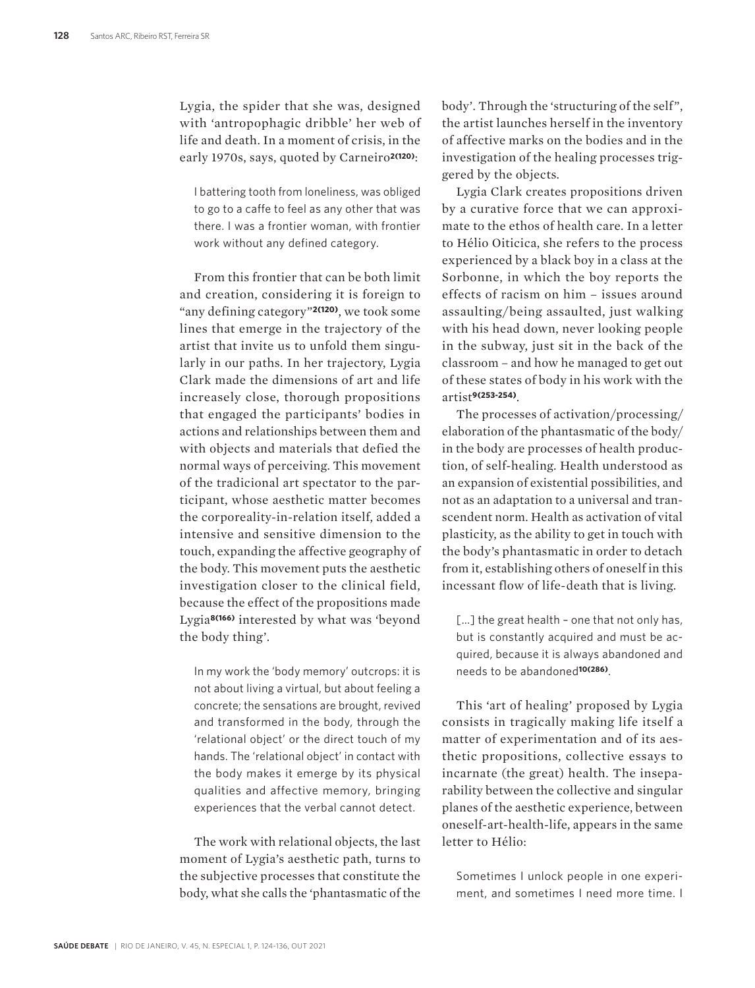Lygia, the spider that she was, designed with 'antropophagic dribble' her web of life and death. In a moment of crisis, in the early 1970s, says, quoted by Carneiro**2(120)**:

I battering tooth from loneliness, was obliged to go to a caffe to feel as any other that was there. I was a frontier woman, with frontier work without any defined category.

From this frontier that can be both limit and creation, considering it is foreign to "any defining category"**2(120)**, we took some lines that emerge in the trajectory of the artist that invite us to unfold them singularly in our paths. In her trajectory, Lygia Clark made the dimensions of art and life increasely close, thorough propositions that engaged the participants' bodies in actions and relationships between them and with objects and materials that defied the normal ways of perceiving. This movement of the tradicional art spectator to the participant, whose aesthetic matter becomes the corporeality-in-relation itself, added a intensive and sensitive dimension to the touch, expanding the affective geography of the body. This movement puts the aesthetic investigation closer to the clinical field, because the effect of the propositions made Lygia**8(166)** interested by what was 'beyond the body thing'.

In my work the 'body memory' outcrops: it is not about living a virtual, but about feeling a concrete; the sensations are brought, revived and transformed in the body, through the 'relational object' or the direct touch of my hands. The 'relational object' in contact with the body makes it emerge by its physical qualities and affective memory, bringing experiences that the verbal cannot detect.

The work with relational objects, the last moment of Lygia's aesthetic path, turns to the subjective processes that constitute the body, what she calls the 'phantasmatic of the

body'. Through the 'structuring of the self", the artist launches herself in the inventory of affective marks on the bodies and in the investigation of the healing processes triggered by the objects.

Lygia Clark creates propositions driven by a curative force that we can approximate to the ethos of health care. In a letter to Hélio Oiticica, she refers to the process experienced by a black boy in a class at the Sorbonne, in which the boy reports the effects of racism on him – issues around assaulting/ being assaulted, just walking with his head down, never looking people in the subway, just sit in the back of the classroom – and how he managed to get out of these states of body in his work with the artist**9(253-254)**.

The processes of activation/processing/ elaboration of the phantasmatic of the body/ in the body are processes of health production, of self-healing. Health understood as an expansion of existential possibilities, and not as an adaptation to a universal and transcendent norm. Health as activation of vital plasticity, as the ability to get in touch with the body's phantasmatic in order to detach from it, establishing others of oneself in this incessant flow of life-death that is living.

[...] the great health - one that not only has, but is constantly acquired and must be acquired, because it is always abandoned and needs to be abandoned**10(286)**.

This 'art of healing' proposed by Lygia consists in tragically making life itself a matter of experimentation and of its aesthetic propositions, collective essays to incarnate (the great) health. The inseparability between the collective and singular planes of the aesthetic experience, between oneself-art-health-life, appears in the same letter to Hélio:

Sometimes I unlock people in one experiment, and sometimes I need more time. I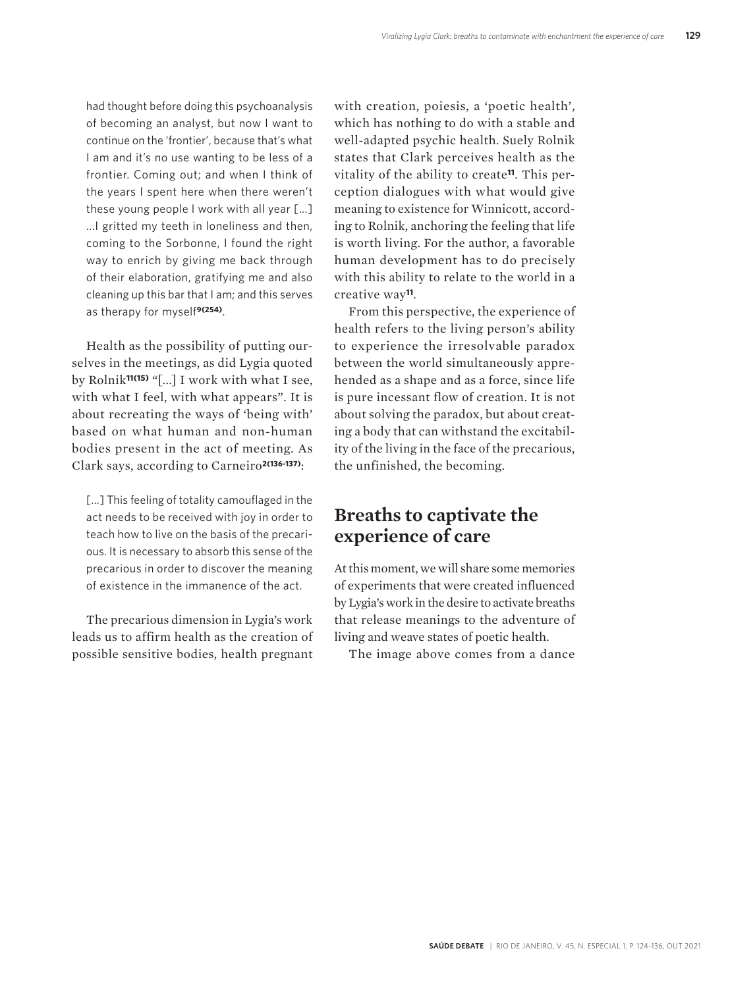had thought before doing this psychoanalysis of becoming an analyst, but now I want to continue on the 'frontier', because that's what I am and it's no use wanting to be less of a frontier. Coming out; and when I think of the years I spent here when there weren't these young people I work with all year [...] ... I gritted my teeth in loneliness and then. coming to the Sorbonne, I found the right way to enrich by giving me back through of their elaboration, gratifying me and also cleaning up this bar that I am; and this serves as therapy for myself**9(254)**.

Health as the possibility of putting ourselves in the meetings, as did Lygia quoted by Rolnik**11(15)** "[...] I work with what I see, with what I feel, with what appears". It is about recreating the ways of 'being with' based on what human and non-human bodies present in the act of meeting. As Clark says, according to Carneiro**2(136-137)**:

[...] This feeling of totality camouflaged in the act needs to be received with joy in order to teach how to live on the basis of the precarious. It is necessary to absorb this sense of the precarious in order to discover the meaning of existence in the immanence of the act.

The precarious dimension in Lygia's work leads us to affirm health as the creation of possible sensitive bodies, health pregnant with creation, poiesis, a 'poetic health', which has nothing to do with a stable and well-adapted psychic health. Suely Rolnik states that Clark perceives health as the vitality of the ability to create**11**. This perception dialogues with what would give meaning to existence for Winnicott, according to Rolnik, anchoring the feeling that life is worth living. For the author, a favorable human development has to do precisely with this ability to relate to the world in a creative way**11**.

From this perspective, the experience of health refers to the living person's ability to experience the irresolvable paradox between the world simultaneously apprehended as a shape and as a force, since life is pure incessant flow of creation. It is not about solving the paradox, but about creating a body that can withstand the excitability of the living in the face of the precarious, the unfinished, the becoming.

#### **Breaths to captivate the experience of care**

At this moment, we will share some memories of experiments that were created influenced by Lygia's work in the desire to activate breaths that release meanings to the adventure of living and weave states of poetic health.

The image above comes from a dance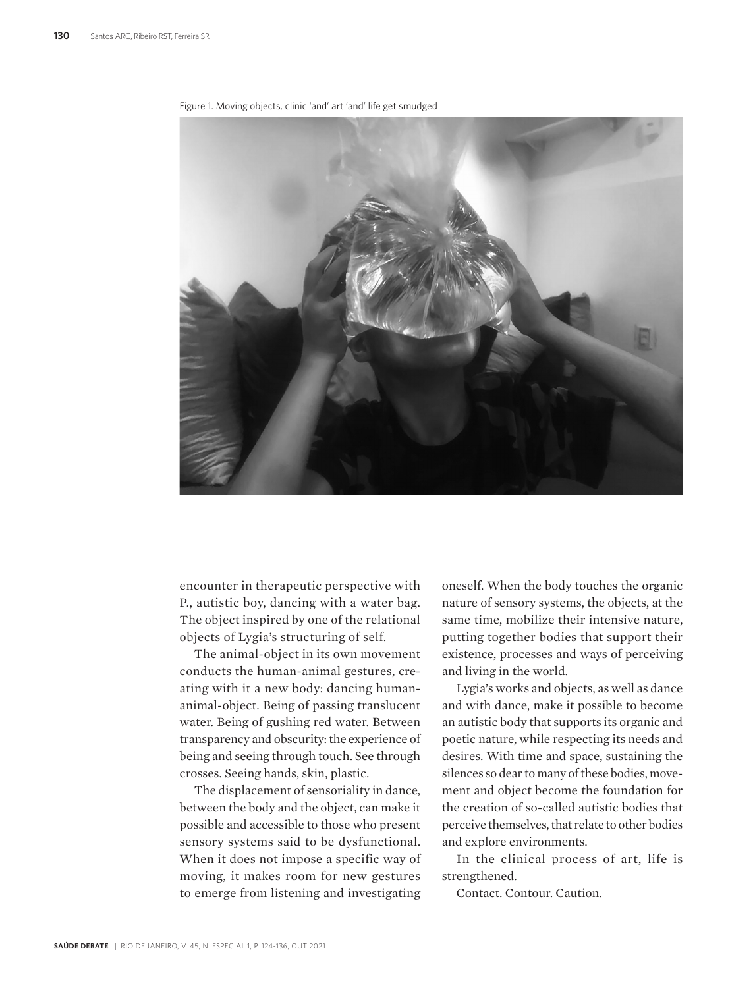Figure 1. Moving objects, clinic 'and' art 'and' life get smudged

encounter in therapeutic perspective with P., autistic boy, dancing with a water bag. The object inspired by one of the relational objects of Lygia's structuring of self.

The animal-object in its own movement conducts the human-animal gestures, creating with it a new body: dancing humananimal-object. Being of passing translucent water. Being of gushing red water. Between transparency and obscurity: the experience of being and seeing through touch. See through crosses. Seeing hands, skin, plastic.

The displacement of sensoriality in dance, between the body and the object, can make it possible and accessible to those who present sensory systems said to be dysfunctional. When it does not impose a specific way of moving, it makes room for new gestures to emerge from listening and investigating

oneself. When the body touches the organic nature of sensory systems, the objects, at the same time, mobilize their intensive nature, putting together bodies that support their existence, processes and ways of perceiving and living in the world.

Lygia's works and objects, as well as dance and with dance, make it possible to become an autistic body that supports its organic and poetic nature, while respecting its needs and desires. With time and space, sustaining the silences so dear to many of these bodies, movement and object become the foundation for the creation of so-called autistic bodies that perceive themselves, that relate to other bodies and explore environments.

In the clinical process of art, life is strengthened.

Contact. Contour. Caution.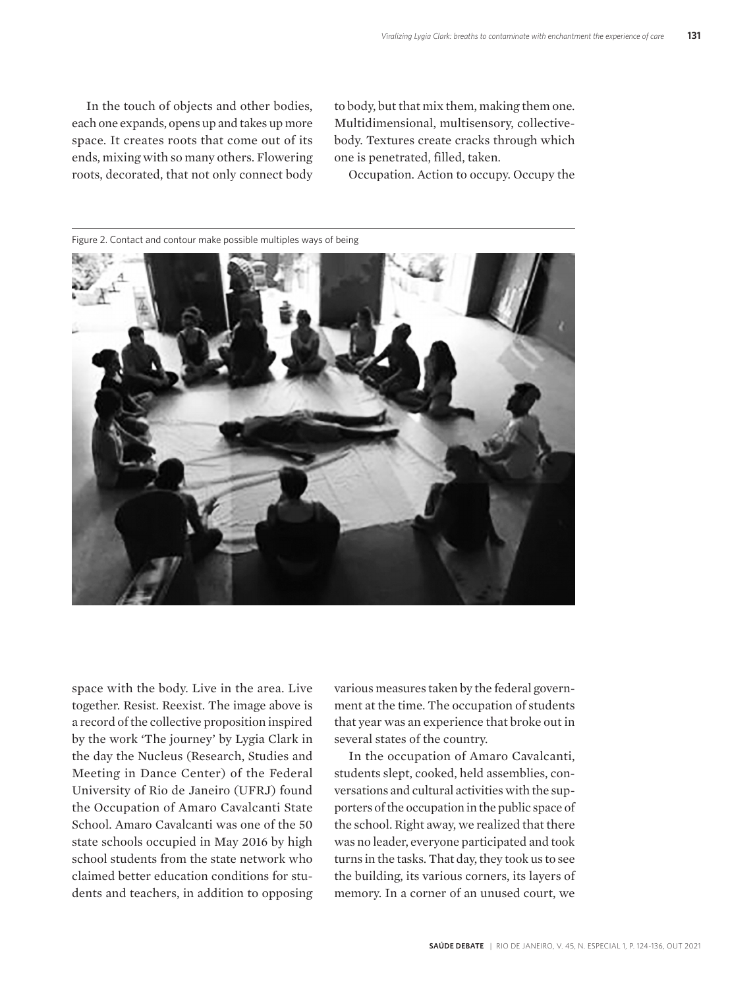In the touch of objects and other bodies, each one expands, opens up and takes up more space. It creates roots that come out of its ends, mixing with so many others. Flowering roots, decorated, that not only connect body to body, but that mix them, making them one. Multidimensional, multisensory, collectivebody. Textures create cracks through which one is penetrated, filled, taken.

Occupation. Action to occupy. Occupy the



Figure 2. Contact and contour make possible multiples ways of being

space with the body. Live in the area. Live together. Resist. Reexist. The image above is a record of the collective proposition inspired by the work 'The journey' by Lygia Clark in the day the Nucleus (Research, Studies and Meeting in Dance Center) of the Federal University of Rio de Janeiro (UFRJ) found the Occupation of Amaro Cavalcanti State School. Amaro Cavalcanti was one of the 50 state schools occupied in May 2016 by high school students from the state network who claimed better education conditions for students and teachers, in addition to opposing various measures taken by the federal government at the time. The occupation of students that year was an experience that broke out in several states of the country.

In the occupation of Amaro Cavalcanti, students slept, cooked, held assemblies, conversations and cultural activities with the supporters of the occupation in the public space of the school. Right away, we realized that there was no leader, everyone participated and took turns in the tasks. That day, they took us to see the building, its various corners, its layers of memory. In a corner of an unused court, we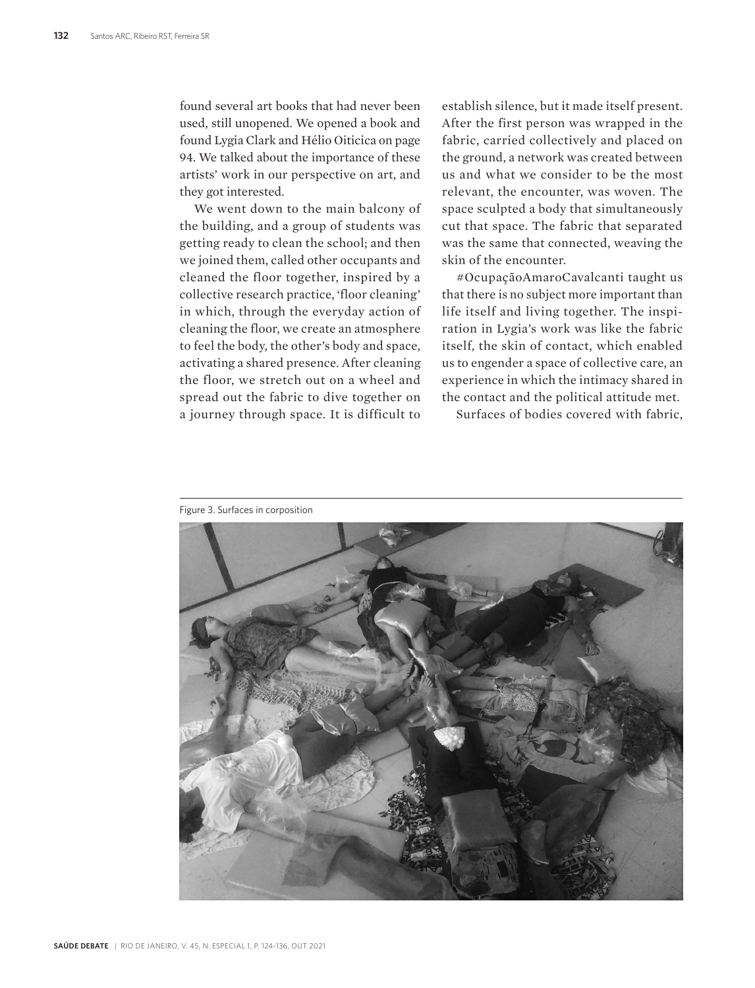found several art books that had never been used, still unopened. We opened a book and found Lygia Clark and Hélio Oiticica on page 94. We talked about the importance of these artists' work in our perspective on art, and they got interested.

We went down to the main balcony of the building, and a group of students was getting ready to clean the school; and then we joined them, called other occupants and cleaned the floor together, inspired by a collective research practice, 'floor cleaning' in which, through the everyday action of cleaning the floor, we create an atmosphere to feel the body, the other's body and space, activating a shared presence. After cleaning the floor, we stretch out on a wheel and spread out the fabric to dive together on a journey through space. It is difficult to

establish silence, but it made itself present. After the first person was wrapped in the fabric, carried collectively and placed on the ground, a network was created between us and what we consider to be the most relevant, the encounter, was woven. The space sculpted a body that simultaneously cut that space. The fabric that separated was the same that connected, weaving the skin of the encounter.

#OcupaçãoAmaroCavalcanti taught us that there is no subject more important than life itself and living together. The inspiration in Lygia's work was like the fabric itself, the skin of contact, which enabled us to engender a space of collective care, an experience in which the intimacy shared in the contact and the political attitude met.

Surfaces of bodies covered with fabric,

Figure 3. Surfaces in corposition

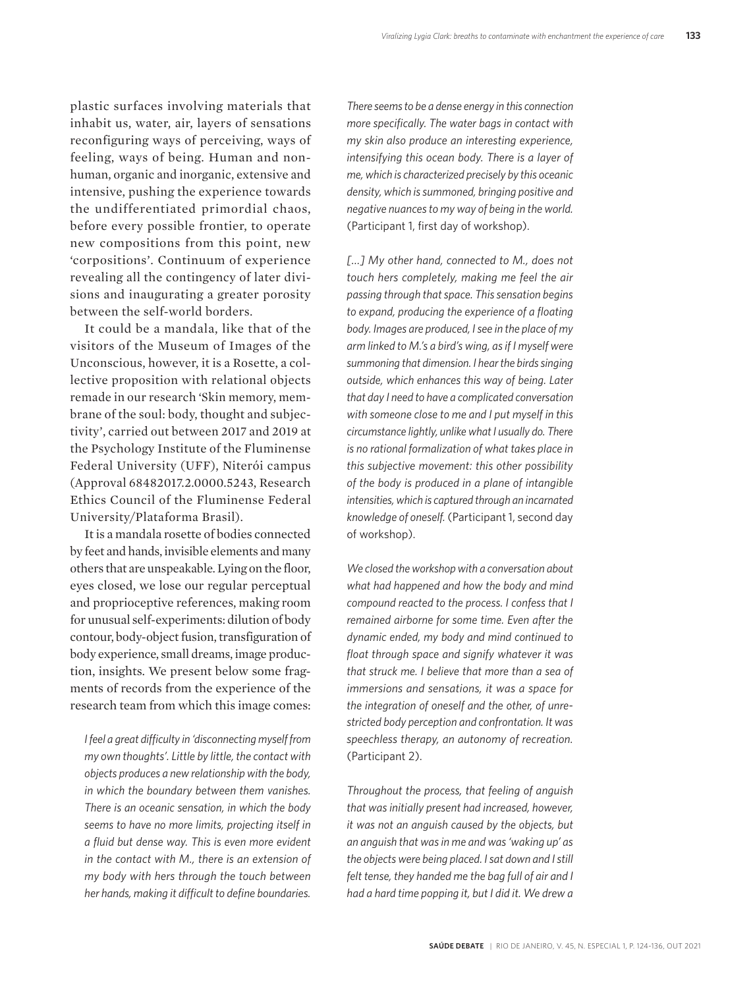plastic surfaces involving materials that inhabit us, water, air, layers of sensations reconfiguring ways of perceiving, ways of feeling, ways of being. Human and nonhuman, organic and inorganic, extensive and intensive, pushing the experience towards the undifferentiated primordial chaos, before every possible frontier, to operate new compositions from this point, new 'corpositions'. Continuum of experience revealing all the contingency of later divisions and inaugurating a greater porosity between the self-world borders.

It could be a mandala, like that of the visitors of the Museum of Images of the Unconscious, however, it is a Rosette, a collective proposition with relational objects remade in our research 'Skin memory, membrane of the soul: body, thought and subjectivity', carried out between 2017 and 2019 at the Psychology Institute of the Fluminense Federal University (UFF), Niterói campus (Approval 68482017.2.0000.5243, Research Ethics Council of the Fluminense Federal University/Plataforma Brasil).

It is a mandala rosette of bodies connected by feet and hands, invisible elements and many others that are unspeakable. Lying on the floor, eyes closed, we lose our regular perceptual and proprioceptive references, making room for unusual self-experiments: dilution of body contour, body-object fusion, transfiguration of body experience, small dreams, image production, insights. We present below some fragments of records from the experience of the research team from which this image comes:

*I feel a great difficulty in 'disconnecting myself from my own thoughts'. Little by little, the contact with objects produces a new relationship with the body, in which the boundary between them vanishes. There is an oceanic sensation, in which the body seems to have no more limits, projecting itself in a fluid but dense way. This is even more evident in the contact with M., there is an extension of my body with hers through the touch between her hands, making it difficult to define boundaries.* 

*There seems to be a dense energy in this connection more specifically. The water bags in contact with my skin also produce an interesting experience, intensifying this ocean body. There is a layer of me, which is characterized precisely by this oceanic density, which is summoned, bringing positive and negative nuances to my way of being in the world.*  (Participant 1, first day of workshop).

*[…] My other hand, connected to M., does not touch hers completely, making me feel the air passing through that space. This sensation begins to expand, producing the experience of a floating body. Images are produced, I see in the place of my arm linked to M.'s a bird's wing, as if I myself were summoning that dimension. I hear the birds singing outside, which enhances this way of being. Later that day I need to have a complicated conversation with someone close to me and I put myself in this circumstance lightly, unlike what I usually do. There is no rational formalization of what takes place in this subjective movement: this other possibility of the body is produced in a plane of intangible intensities, which is captured through an incarnated knowledge of oneself.* (Participant 1, second day of workshop).

*We closed the workshop with a conversation about what had happened and how the body and mind compound reacted to the process. I confess that I remained airborne for some time. Even after the dynamic ended, my body and mind continued to float through space and signify whatever it was that struck me. I believe that more than a sea of immersions and sensations, it was a space for the integration of oneself and the other, of unrestricted body perception and confrontation. It was speechless therapy, an autonomy of recreation.*  (Participant 2).

*Throughout the process, that feeling of anguish that was initially present had increased, however, it was not an anguish caused by the objects, but an anguish that was in me and was 'waking up' as the objects were being placed. I sat down and I still felt tense, they handed me the bag full of air and I had a hard time popping it, but I did it. We drew a*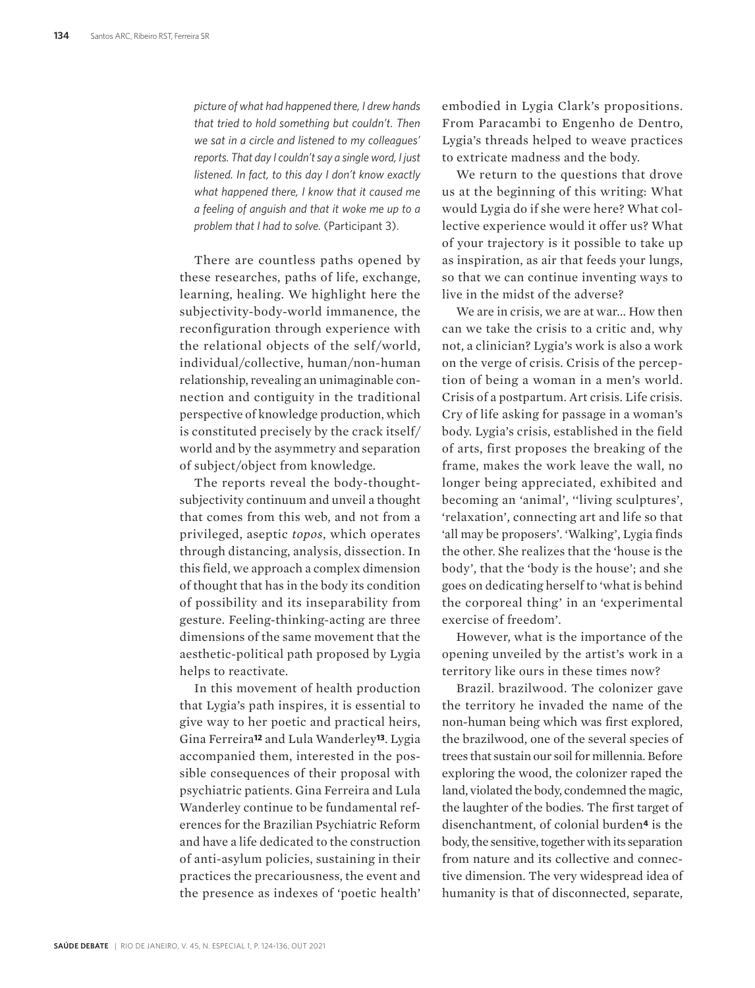*picture of what had happened there, I drew hands that tried to hold something but couldn't. Then we sat in a circle and listened to my colleagues' reports. That day I couldn't say a single word, I just listened. In fact, to this day I don't know exactly what happened there, I know that it caused me a feeling of anguish and that it woke me up to a problem that I had to solve.* (Participant 3).

There are countless paths opened by these researches, paths of life, exchange, learning, healing. We highlight here the subjectivity-body-world immanence, the reconfiguration through experience with the relational objects of the self/world, individual/collective, human/non-human relationship, revealing an unimaginable connection and contiguity in the traditional perspective of knowledge production, which is constituted precisely by the crack itself/ world and by the asymmetry and separation of subject/object from knowledge.

The reports reveal the body-thoughtsubjectivity continuum and unveil a thought that comes from this web, and not from a privileged, aseptic *topos*, which operates through distancing, analysis, dissection. In this field, we approach a complex dimension of thought that has in the body its condition of possibility and its inseparability from gesture. Feeling-thinking-acting are three dimensions of the same movement that the aesthetic-political path proposed by Lygia helps to reactivate.

In this movement of health production that Lygia's path inspires, it is essential to give way to her poetic and practical heirs, Gina Ferreira**12** and Lula Wanderley**13**. Lygia accompanied them, interested in the possible consequences of their proposal with psychiatric patients. Gina Ferreira and Lula Wanderley continue to be fundamental references for the Brazilian Psychiatric Reform and have a life dedicated to the construction of anti-asylum policies, sustaining in their practices the precariousness, the event and the presence as indexes of 'poetic health'

embodied in Lygia Clark's propositions. From Paracambi to Engenho de Dentro, Lygia's threads helped to weave practices to extricate madness and the body.

We return to the questions that drove us at the beginning of this writing: What would Lygia do if she were here? What collective experience would it offer us? What of your trajectory is it possible to take up as inspiration, as air that feeds your lungs, so that we can continue inventing ways to live in the midst of the adverse?

We are in crisis, we are at war... How then can we take the crisis to a critic and, why not, a clinician? Lygia's work is also a work on the verge of crisis. Crisis of the perception of being a woman in a men's world. Crisis of a postpartum. Art crisis. Life crisis. Cry of life asking for passage in a woman's body. Lygia's crisis, established in the field of arts, first proposes the breaking of the frame, makes the work leave the wall, no longer being appreciated, exhibited and becoming an 'animal', ''living sculptures', 'relaxation', connecting art and life so that 'all may be proposers'. 'Walking', Lygia finds the other. She realizes that the 'house is the body', that the 'body is the house'; and she goes on dedicating herself to 'what is behind the corporeal thing' in an 'experimental exercise of freedom'.

However, what is the importance of the opening unveiled by the artist's work in a territory like ours in these times now?

Brazil. brazilwood. The colonizer gave the territory he invaded the name of the non-human being which was first explored, the brazilwood, one of the several species of trees that sustain our soil for millennia. Before exploring the wood, the colonizer raped the land, violated the body, condemned the magic, the laughter of the bodies. The first target of disenchantment, of colonial burden**4** is the body, the sensitive, together with its separation from nature and its collective and connective dimension. The very widespread idea of humanity is that of disconnected, separate,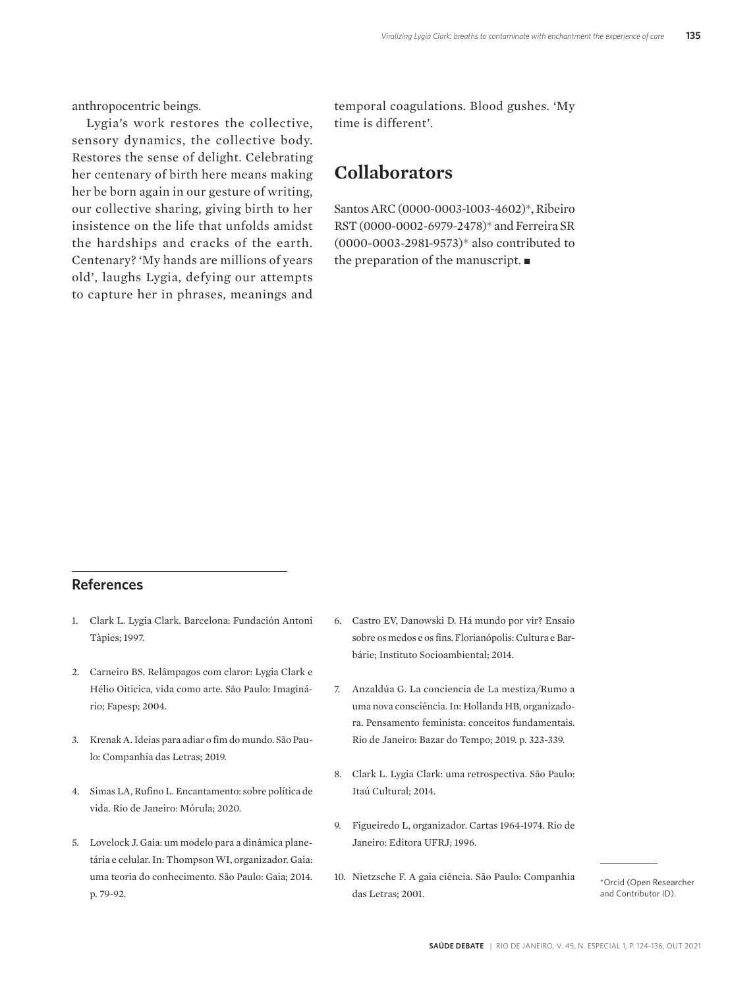anthropocentric beings.

Lygia's work restores the collective, sensory dynamics, the collective body. Restores the sense of delight. Celebrating her centenary of birth here means making her be born again in our gesture of writing, our collective sharing, giving birth to her insistence on the life that unfolds amidst the hardships and cracks of the earth. Centenary? 'My hands are millions of years old', laughs Lygia, defying our attempts to capture her in phrases, meanings and

temporal coagulations. Blood gushes. 'My time is different'.

### **Collaborators**

Santos ARC (0000-0003-1003-4602)\*, Ribeiro RST (0000-0002-6979-2478)\* and Ferreira SR (0000-0003-2981-9573)\* also contributed to the preparation of the manuscript.  $\blacksquare$ 

#### **References**

- 1. Clark L. Lygia Clark. Barcelona: Fundación Antoni Tàpies; 1997.
- 2. Carneiro BS. Relâmpagos com claror: Lygia Clark e Hélio Oiticica, vida como arte. São Paulo: Imaginário; Fapesp; 2004.
- 3. Krenak A. Ideias para adiar o fim do mundo. São Paulo: Companhia das Letras; 2019.
- 4. Simas LA, Rufino L. Encantamento: sobre política de vida. Rio de Janeiro: Mórula; 2020.
- 5. Lovelock J. Gaia: um modelo para a dinâmica planetária e celular. In: Thompson WI, organizador. Gaia: uma teoria do conhecimento. São Paulo: Gaia; 2014. p. 79-92.
- 6. Castro EV, Danowski D. Há mundo por vir? Ensaio sobre os medos e os fins. Florianópolis: Cultura e Barbárie; Instituto Socioambiental; 2014.
- 7. Anzaldúa G. La conciencia de La mestiza/Rumo a uma nova consciência. In: Hollanda HB, organizadora. Pensamento feminista: conceitos fundamentais. Rio de Janeiro: Bazar do Tempo; 2019. p. 323-339.
- 8. Clark L. Lygia Clark: uma retrospectiva. São Paulo: Itaú Cultural; 2014.
- 9. Figueiredo L, organizador. Cartas 1964-1974. Rio de Janeiro: Editora UFRJ; 1996.
- 10. Nietzsche F. A gaia ciência. São Paulo: Companhia das Letras; 2001.

\*Orcid (Open Researcher and Contributor ID).